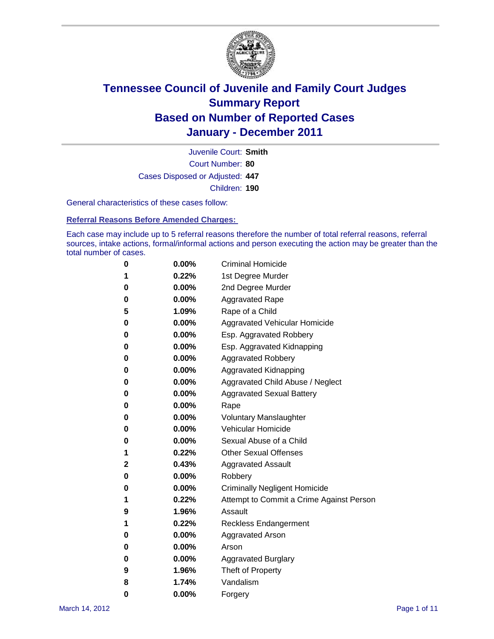

Court Number: **80** Juvenile Court: **Smith** Cases Disposed or Adjusted: **447** Children: **190**

General characteristics of these cases follow:

**Referral Reasons Before Amended Charges:** 

Each case may include up to 5 referral reasons therefore the number of total referral reasons, referral sources, intake actions, formal/informal actions and person executing the action may be greater than the total number of cases.

| 0 | $0.00\%$ | <b>Criminal Homicide</b>                 |
|---|----------|------------------------------------------|
| 1 | 0.22%    | 1st Degree Murder                        |
| 0 | $0.00\%$ | 2nd Degree Murder                        |
| 0 | $0.00\%$ | <b>Aggravated Rape</b>                   |
| 5 | 1.09%    | Rape of a Child                          |
| 0 | $0.00\%$ | Aggravated Vehicular Homicide            |
| 0 | $0.00\%$ | Esp. Aggravated Robbery                  |
| 0 | $0.00\%$ | Esp. Aggravated Kidnapping               |
| 0 | $0.00\%$ | <b>Aggravated Robbery</b>                |
| 0 | $0.00\%$ | Aggravated Kidnapping                    |
| 0 | 0.00%    | Aggravated Child Abuse / Neglect         |
| 0 | 0.00%    | <b>Aggravated Sexual Battery</b>         |
| 0 | $0.00\%$ | Rape                                     |
| 0 | $0.00\%$ | <b>Voluntary Manslaughter</b>            |
| 0 | $0.00\%$ | Vehicular Homicide                       |
| 0 | 0.00%    | Sexual Abuse of a Child                  |
| 1 | 0.22%    | <b>Other Sexual Offenses</b>             |
| 2 | 0.43%    | <b>Aggravated Assault</b>                |
| 0 | $0.00\%$ | Robbery                                  |
| 0 | $0.00\%$ | <b>Criminally Negligent Homicide</b>     |
| 1 | 0.22%    | Attempt to Commit a Crime Against Person |
| 9 | 1.96%    | Assault                                  |
| 1 | 0.22%    | <b>Reckless Endangerment</b>             |
| 0 | $0.00\%$ | <b>Aggravated Arson</b>                  |
| 0 | $0.00\%$ | Arson                                    |
| 0 | $0.00\%$ | <b>Aggravated Burglary</b>               |
| 9 | 1.96%    | Theft of Property                        |
| 8 | 1.74%    | Vandalism                                |
| 0 | 0.00%    | Forgery                                  |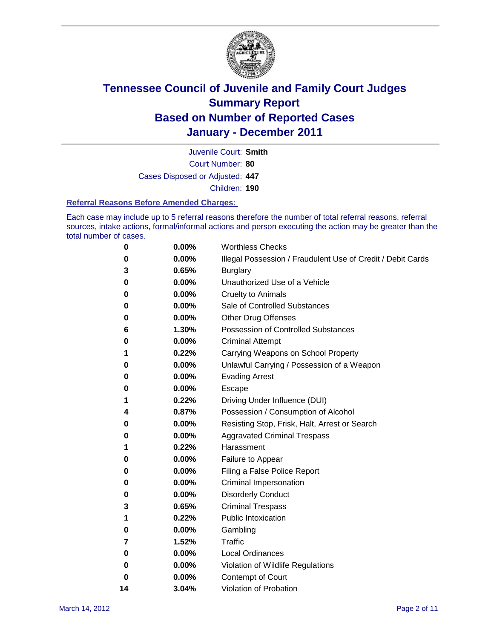

Court Number: **80** Juvenile Court: **Smith** Cases Disposed or Adjusted: **447** Children: **190**

#### **Referral Reasons Before Amended Charges:**

Each case may include up to 5 referral reasons therefore the number of total referral reasons, referral sources, intake actions, formal/informal actions and person executing the action may be greater than the total number of cases.

| 0  | 0.00%    | <b>Worthless Checks</b>                                     |
|----|----------|-------------------------------------------------------------|
| 0  | 0.00%    | Illegal Possession / Fraudulent Use of Credit / Debit Cards |
| 3  | 0.65%    | <b>Burglary</b>                                             |
| 0  | 0.00%    | Unauthorized Use of a Vehicle                               |
| 0  | 0.00%    | <b>Cruelty to Animals</b>                                   |
| 0  | 0.00%    | Sale of Controlled Substances                               |
| 0  | 0.00%    | <b>Other Drug Offenses</b>                                  |
| 6  | 1.30%    | <b>Possession of Controlled Substances</b>                  |
| 0  | 0.00%    | <b>Criminal Attempt</b>                                     |
| 1  | 0.22%    | Carrying Weapons on School Property                         |
| 0  | 0.00%    | Unlawful Carrying / Possession of a Weapon                  |
| 0  | 0.00%    | <b>Evading Arrest</b>                                       |
| 0  | 0.00%    | Escape                                                      |
| 1  | 0.22%    | Driving Under Influence (DUI)                               |
| 4  | 0.87%    | Possession / Consumption of Alcohol                         |
| 0  | 0.00%    | Resisting Stop, Frisk, Halt, Arrest or Search               |
| 0  | 0.00%    | <b>Aggravated Criminal Trespass</b>                         |
| 1  | 0.22%    | Harassment                                                  |
| 0  | 0.00%    | Failure to Appear                                           |
| 0  | 0.00%    | Filing a False Police Report                                |
| 0  | 0.00%    | Criminal Impersonation                                      |
| 0  | 0.00%    | <b>Disorderly Conduct</b>                                   |
| 3  | 0.65%    | <b>Criminal Trespass</b>                                    |
| 1  | 0.22%    | <b>Public Intoxication</b>                                  |
| 0  | 0.00%    | Gambling                                                    |
| 7  | 1.52%    | <b>Traffic</b>                                              |
| 0  | 0.00%    | <b>Local Ordinances</b>                                     |
| 0  | 0.00%    | Violation of Wildlife Regulations                           |
| 0  | $0.00\%$ | Contempt of Court                                           |
| 14 | 3.04%    | Violation of Probation                                      |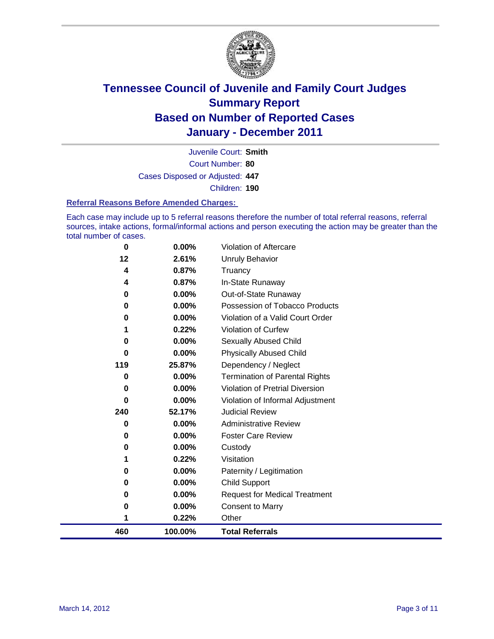

Court Number: **80** Juvenile Court: **Smith** Cases Disposed or Adjusted: **447** Children: **190**

#### **Referral Reasons Before Amended Charges:**

Each case may include up to 5 referral reasons therefore the number of total referral reasons, referral sources, intake actions, formal/informal actions and person executing the action may be greater than the total number of cases.

| 1        | 0.22%          | Other                                  |
|----------|----------------|----------------------------------------|
| 0        | 0.00%          | <b>Consent to Marry</b>                |
| 0        | 0.00%          | <b>Request for Medical Treatment</b>   |
| 0        | 0.00%          | <b>Child Support</b>                   |
| 0        | 0.00%          | Paternity / Legitimation               |
| 1        | 0.22%          | Visitation                             |
| 0        | 0.00%          | Custody                                |
| 0        | 0.00%          | <b>Foster Care Review</b>              |
| 0        | 0.00%          | <b>Administrative Review</b>           |
| 240      | 52.17%         | <b>Judicial Review</b>                 |
| $\bf{0}$ | 0.00%          | Violation of Informal Adjustment       |
| $\bf{0}$ | 0.00%          | <b>Violation of Pretrial Diversion</b> |
| 0        | 0.00%          | <b>Termination of Parental Rights</b>  |
| 119      | 25.87%         | Dependency / Neglect                   |
| $\bf{0}$ | 0.00%          | <b>Physically Abused Child</b>         |
| 0        | 0.00%          | Sexually Abused Child                  |
|          | 0.22%          | Violation of Curfew                    |
| 0        | 0.00%          | Violation of a Valid Court Order       |
| 0        | 0.00%          | Possession of Tobacco Products         |
| 0        | 0.00%          | Out-of-State Runaway                   |
| 4        | 0.87%          | Truancy<br>In-State Runaway            |
| 12<br>4  | 2.61%<br>0.87% | <b>Unruly Behavior</b>                 |
|          |                |                                        |
| 0        | 0.00%          | Violation of Aftercare                 |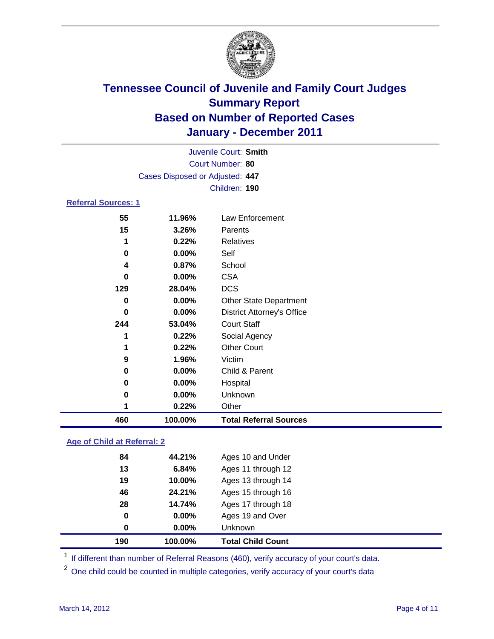

| 460                        | 100.00%                         | <b>Total Referral Sources</b>     |  |
|----------------------------|---------------------------------|-----------------------------------|--|
| 1                          | 0.22%                           | Other                             |  |
| 0                          | $0.00\%$                        | Unknown                           |  |
| 0                          | $0.00\%$                        | Hospital                          |  |
| 0                          | $0.00\%$                        | Child & Parent                    |  |
| 9                          | 1.96%                           | Victim                            |  |
| 1                          | 0.22%                           | <b>Other Court</b>                |  |
| 1                          | 0.22%                           | Social Agency                     |  |
| 244                        | 53.04%                          | <b>Court Staff</b>                |  |
| 0                          | 0.00%                           | <b>District Attorney's Office</b> |  |
| 0                          | $0.00\%$                        | <b>Other State Department</b>     |  |
| 129                        | 28.04%                          | <b>DCS</b>                        |  |
| 0                          | $0.00\%$                        | <b>CSA</b>                        |  |
| 4                          | 0.87%                           | School                            |  |
| 0                          | $0.00\%$                        | Self                              |  |
| 1                          | 0.22%                           | <b>Relatives</b>                  |  |
| 15                         | 3.26%                           | Parents                           |  |
| 55                         | 11.96%                          | Law Enforcement                   |  |
| <b>Referral Sources: 1</b> |                                 |                                   |  |
|                            |                                 | Children: 190                     |  |
|                            | Cases Disposed or Adjusted: 447 |                                   |  |
| Court Number: 80           |                                 |                                   |  |
|                            | Juvenile Court: Smith           |                                   |  |
|                            |                                 |                                   |  |

### **Age of Child at Referral: 2**

| 190 | 100.00% | <b>Total Child Count</b> |
|-----|---------|--------------------------|
| 0   | 0.00%   | <b>Unknown</b>           |
| 0   | 0.00%   | Ages 19 and Over         |
| 28  | 14.74%  | Ages 17 through 18       |
| 46  | 24.21%  | Ages 15 through 16       |
| 19  | 10.00%  | Ages 13 through 14       |
| 13  | 6.84%   | Ages 11 through 12       |
| 84  | 44.21%  | Ages 10 and Under        |
|     |         |                          |

<sup>1</sup> If different than number of Referral Reasons (460), verify accuracy of your court's data.

<sup>2</sup> One child could be counted in multiple categories, verify accuracy of your court's data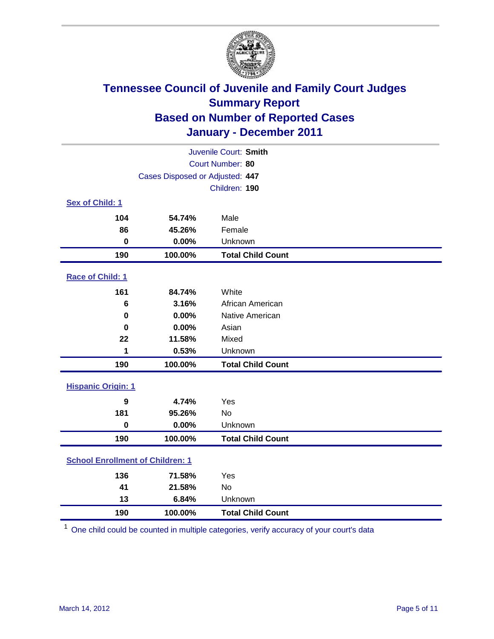

| Juvenile Court: Smith                   |                                 |                          |  |  |
|-----------------------------------------|---------------------------------|--------------------------|--|--|
| Court Number: 80                        |                                 |                          |  |  |
|                                         | Cases Disposed or Adjusted: 447 |                          |  |  |
|                                         |                                 | Children: 190            |  |  |
| Sex of Child: 1                         |                                 |                          |  |  |
| 104                                     | 54.74%                          | Male                     |  |  |
| 86                                      | 45.26%                          | Female                   |  |  |
| $\mathbf 0$                             | 0.00%                           | Unknown                  |  |  |
| 190                                     | 100.00%                         | <b>Total Child Count</b> |  |  |
| Race of Child: 1                        |                                 |                          |  |  |
| 161                                     | 84.74%                          | White                    |  |  |
| 6                                       | 3.16%                           | African American         |  |  |
| 0                                       | 0.00%                           | Native American          |  |  |
| $\bf{0}$                                | 0.00%                           | Asian                    |  |  |
| 22                                      | 11.58%                          | Mixed                    |  |  |
| 1                                       | 0.53%                           | Unknown                  |  |  |
| 190                                     | 100.00%                         | <b>Total Child Count</b> |  |  |
| <b>Hispanic Origin: 1</b>               |                                 |                          |  |  |
| 9                                       | 4.74%                           | Yes                      |  |  |
| 181                                     | 95.26%                          | No                       |  |  |
| $\mathbf 0$                             | 0.00%                           | Unknown                  |  |  |
| 190                                     | 100.00%                         | <b>Total Child Count</b> |  |  |
| <b>School Enrollment of Children: 1</b> |                                 |                          |  |  |
| 136                                     | 71.58%                          | Yes                      |  |  |
| 41                                      | 21.58%                          | No                       |  |  |
| 13                                      | 6.84%                           | Unknown                  |  |  |
| 190                                     | 100.00%                         | <b>Total Child Count</b> |  |  |

One child could be counted in multiple categories, verify accuracy of your court's data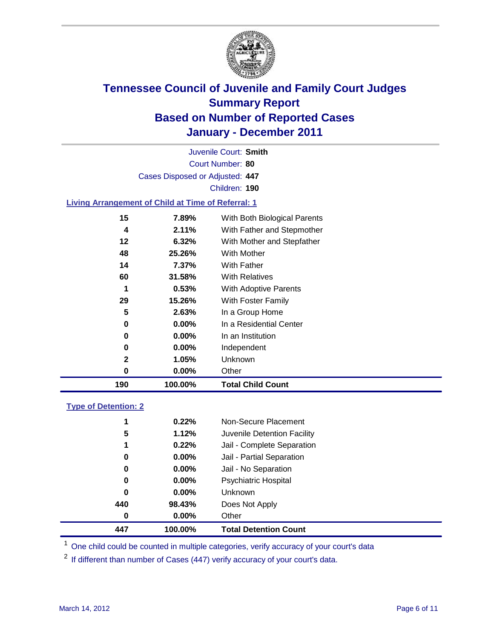

Court Number: **80** Juvenile Court: **Smith** Cases Disposed or Adjusted: **447** Children: **190**

#### **Living Arrangement of Child at Time of Referral: 1**

| 190 | 100.00%  | <b>Total Child Count</b>     |
|-----|----------|------------------------------|
| 0   | 0.00%    | Other                        |
| 2   | 1.05%    | Unknown                      |
| 0   | $0.00\%$ | Independent                  |
| 0   | $0.00\%$ | In an Institution            |
| 0   | $0.00\%$ | In a Residential Center      |
| 5   | 2.63%    | In a Group Home              |
| 29  | 15.26%   | With Foster Family           |
| 1   | 0.53%    | With Adoptive Parents        |
| 60  | 31.58%   | <b>With Relatives</b>        |
| 14  | $7.37\%$ | With Father                  |
| 48  | 25.26%   | With Mother                  |
| 12  | 6.32%    | With Mother and Stepfather   |
| 4   | 2.11%    | With Father and Stepmother   |
| 15  | 7.89%    | With Both Biological Parents |
|     |          |                              |

### **Type of Detention: 2**

| 447 | 100.00%  | <b>Total Detention Count</b> |  |
|-----|----------|------------------------------|--|
| 0   | $0.00\%$ | Other                        |  |
| 440 | 98.43%   | Does Not Apply               |  |
| 0   | $0.00\%$ | <b>Unknown</b>               |  |
| 0   | $0.00\%$ | Psychiatric Hospital         |  |
| 0   | 0.00%    | Jail - No Separation         |  |
| 0   | $0.00\%$ | Jail - Partial Separation    |  |
| 1   | 0.22%    | Jail - Complete Separation   |  |
| 5   | 1.12%    | Juvenile Detention Facility  |  |
| 1   | 0.22%    | Non-Secure Placement         |  |
|     |          |                              |  |

<sup>1</sup> One child could be counted in multiple categories, verify accuracy of your court's data

<sup>2</sup> If different than number of Cases (447) verify accuracy of your court's data.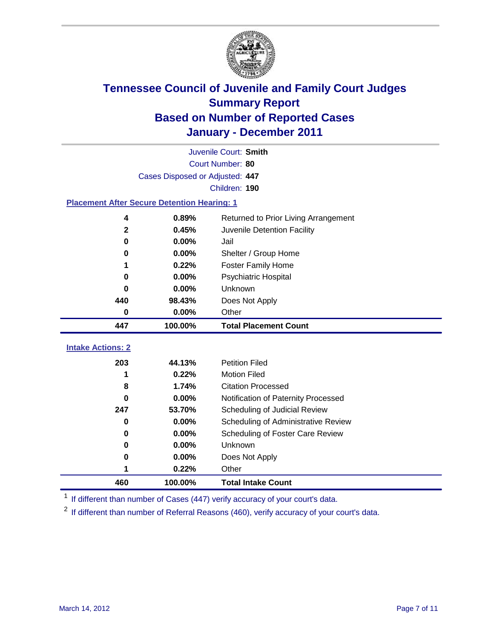

|                                                    | Juvenile Court: Smith           |                                      |  |  |  |
|----------------------------------------------------|---------------------------------|--------------------------------------|--|--|--|
|                                                    | Court Number: 80                |                                      |  |  |  |
|                                                    | Cases Disposed or Adjusted: 447 |                                      |  |  |  |
|                                                    |                                 | Children: 190                        |  |  |  |
| <b>Placement After Secure Detention Hearing: 1</b> |                                 |                                      |  |  |  |
| 4                                                  | 0.89%                           | Returned to Prior Living Arrangement |  |  |  |
| $\mathbf{2}$                                       | 0.45%                           | Juvenile Detention Facility          |  |  |  |
| $\bf{0}$                                           | 0.00%                           | Jail                                 |  |  |  |
| 0                                                  | 0.00%                           | Shelter / Group Home                 |  |  |  |
| 1                                                  | 0.22%                           | <b>Foster Family Home</b>            |  |  |  |
| $\bf{0}$                                           | 0.00%                           | Psychiatric Hospital                 |  |  |  |
| 0                                                  | $0.00\%$                        | <b>Unknown</b>                       |  |  |  |
| 440                                                | 98.43%                          | Does Not Apply                       |  |  |  |
| $\mathbf 0$                                        | 0.00%                           | Other                                |  |  |  |
| 447                                                | 100.00%                         | <b>Total Placement Count</b>         |  |  |  |
|                                                    |                                 |                                      |  |  |  |
| <b>Intake Actions: 2</b>                           |                                 |                                      |  |  |  |
| 203                                                | 44.13%                          | <b>Petition Filed</b>                |  |  |  |
| 1                                                  | 0.22%                           | <b>Motion Filed</b>                  |  |  |  |
| 8                                                  | 1.74%                           | <b>Citation Processed</b>            |  |  |  |
| 0                                                  | 0.00%                           | Notification of Paternity Processed  |  |  |  |
| 247                                                | 53.70%                          | Scheduling of Judicial Review        |  |  |  |
| $\bf{0}$                                           | 0.00%                           | Scheduling of Administrative Review  |  |  |  |
| 0                                                  | 0.00%                           | Scheduling of Foster Care Review     |  |  |  |
| $\bf{0}$                                           | 0.00%                           | Unknown                              |  |  |  |
| 0                                                  | 0.00%                           | Does Not Apply                       |  |  |  |
|                                                    | 0.22%                           | Other                                |  |  |  |
| 460                                                | 100.00%                         | <b>Total Intake Count</b>            |  |  |  |

<sup>1</sup> If different than number of Cases (447) verify accuracy of your court's data.

<sup>2</sup> If different than number of Referral Reasons (460), verify accuracy of your court's data.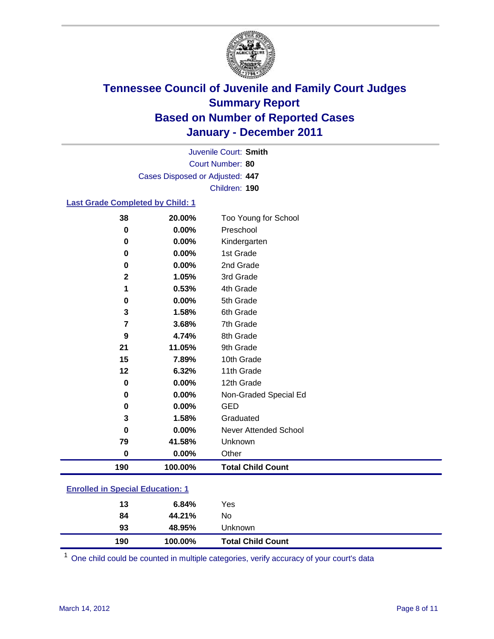

Court Number: **80** Juvenile Court: **Smith** Cases Disposed or Adjusted: **447** Children: **190**

#### **Last Grade Completed by Child: 1**

| 38                                      | 20.00%  | Too Young for School         |  |
|-----------------------------------------|---------|------------------------------|--|
| 0                                       | 0.00%   | Preschool                    |  |
| $\mathbf 0$                             | 0.00%   | Kindergarten                 |  |
| 0                                       | 0.00%   | 1st Grade                    |  |
| 0                                       | 0.00%   | 2nd Grade                    |  |
| $\mathbf 2$                             | 1.05%   | 3rd Grade                    |  |
| 1                                       | 0.53%   | 4th Grade                    |  |
| $\bf{0}$                                | 0.00%   | 5th Grade                    |  |
| 3                                       | 1.58%   | 6th Grade                    |  |
| 7                                       | 3.68%   | 7th Grade                    |  |
| 9                                       | 4.74%   | 8th Grade                    |  |
| 21                                      | 11.05%  | 9th Grade                    |  |
| 15                                      | 7.89%   | 10th Grade                   |  |
| 12                                      | 6.32%   | 11th Grade                   |  |
| 0                                       | 0.00%   | 12th Grade                   |  |
| 0                                       | 0.00%   | Non-Graded Special Ed        |  |
| 0                                       | 0.00%   | <b>GED</b>                   |  |
| 3                                       | 1.58%   | Graduated                    |  |
| 0                                       | 0.00%   | <b>Never Attended School</b> |  |
| 79                                      | 41.58%  | Unknown                      |  |
| $\bf{0}$                                | 0.00%   | Other                        |  |
| 190                                     | 100.00% | <b>Total Child Count</b>     |  |
| <b>Enrolled in Special Education: 1</b> |         |                              |  |

| 190                                   | 100.00% | <b>Total Child Count</b> |  |  |
|---------------------------------------|---------|--------------------------|--|--|
| 93                                    | 48.95%  | Unknown                  |  |  |
| 84                                    | 44.21%  | No                       |  |  |
| 13                                    | 6.84%   | Yes                      |  |  |
| $\mathbf{r}$ only a  opposite example |         |                          |  |  |

One child could be counted in multiple categories, verify accuracy of your court's data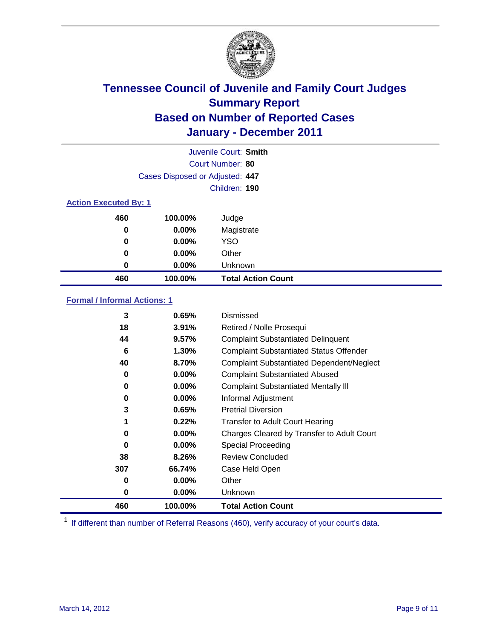

|     |                                 | Juvenile Court: Smith     |  |  |  |
|-----|---------------------------------|---------------------------|--|--|--|
|     |                                 | Court Number: 80          |  |  |  |
|     | Cases Disposed or Adjusted: 447 |                           |  |  |  |
|     |                                 | Children: 190             |  |  |  |
|     | <b>Action Executed By: 1</b>    |                           |  |  |  |
| 460 | 100.00%                         | Judge                     |  |  |  |
| 0   | $0.00\%$                        | Magistrate                |  |  |  |
| 0   | $0.00\%$                        | <b>YSO</b>                |  |  |  |
| 0   | 0.00%                           | Other                     |  |  |  |
| 0   | 0.00%                           | Unknown                   |  |  |  |
| 460 | 100.00%                         | <b>Total Action Count</b> |  |  |  |

### **Formal / Informal Actions: 1**

| 3   | 0.65%    | Dismissed                                        |
|-----|----------|--------------------------------------------------|
| 18  | 3.91%    | Retired / Nolle Prosequi                         |
| 44  | 9.57%    | <b>Complaint Substantiated Delinquent</b>        |
| 6   | 1.30%    | <b>Complaint Substantiated Status Offender</b>   |
| 40  | 8.70%    | <b>Complaint Substantiated Dependent/Neglect</b> |
| 0   | $0.00\%$ | <b>Complaint Substantiated Abused</b>            |
| 0   | $0.00\%$ | <b>Complaint Substantiated Mentally III</b>      |
| 0   | $0.00\%$ | Informal Adjustment                              |
| 3   | 0.65%    | <b>Pretrial Diversion</b>                        |
| 1   | 0.22%    | <b>Transfer to Adult Court Hearing</b>           |
| 0   | $0.00\%$ | Charges Cleared by Transfer to Adult Court       |
| 0   | $0.00\%$ | Special Proceeding                               |
| 38  | 8.26%    | <b>Review Concluded</b>                          |
| 307 | 66.74%   | Case Held Open                                   |
| 0   | $0.00\%$ | Other                                            |
| 0   | $0.00\%$ | Unknown                                          |
| 460 | 100.00%  | <b>Total Action Count</b>                        |

<sup>1</sup> If different than number of Referral Reasons (460), verify accuracy of your court's data.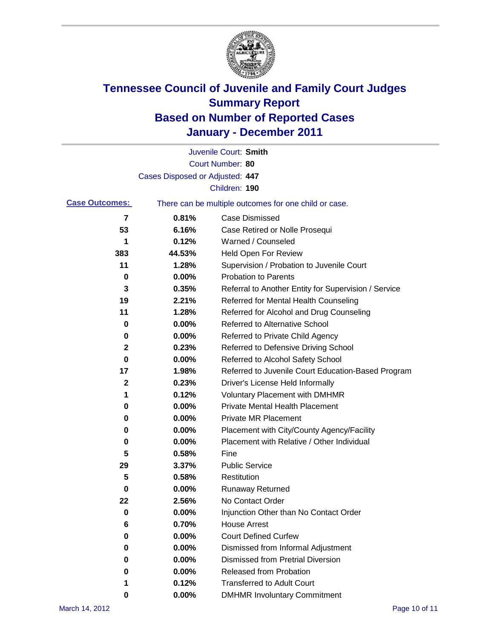

|                       |                                 | Juvenile Court: Smith                                 |
|-----------------------|---------------------------------|-------------------------------------------------------|
|                       |                                 | Court Number: 80                                      |
|                       | Cases Disposed or Adjusted: 447 |                                                       |
|                       |                                 | Children: 190                                         |
| <b>Case Outcomes:</b> |                                 | There can be multiple outcomes for one child or case. |
| 7                     | 0.81%                           | <b>Case Dismissed</b>                                 |
| 53                    | 6.16%                           | Case Retired or Nolle Prosequi                        |
| 1                     | 0.12%                           | Warned / Counseled                                    |
| 383                   | 44.53%                          | <b>Held Open For Review</b>                           |
| 11                    | 1.28%                           | Supervision / Probation to Juvenile Court             |
| 0                     | 0.00%                           | <b>Probation to Parents</b>                           |
| 3                     | 0.35%                           | Referral to Another Entity for Supervision / Service  |
| 19                    | 2.21%                           | Referred for Mental Health Counseling                 |
| 11                    | 1.28%                           | Referred for Alcohol and Drug Counseling              |
| 0                     | 0.00%                           | Referred to Alternative School                        |
| 0                     | 0.00%                           | Referred to Private Child Agency                      |
| $\mathbf{2}$          | 0.23%                           | Referred to Defensive Driving School                  |
| 0                     | 0.00%                           | Referred to Alcohol Safety School                     |
| 17                    | 1.98%                           | Referred to Juvenile Court Education-Based Program    |
| 2                     | 0.23%                           | Driver's License Held Informally                      |
| 1                     | 0.12%                           | <b>Voluntary Placement with DMHMR</b>                 |
| 0                     | 0.00%                           | <b>Private Mental Health Placement</b>                |
| 0                     | 0.00%                           | <b>Private MR Placement</b>                           |
| 0                     | 0.00%                           | Placement with City/County Agency/Facility            |
| 0                     | 0.00%                           | Placement with Relative / Other Individual            |
| 5                     | 0.58%                           | Fine                                                  |
| 29                    | 3.37%                           | <b>Public Service</b>                                 |
| 5                     | 0.58%                           | Restitution                                           |
| 0                     | 0.00%                           | <b>Runaway Returned</b>                               |
| 22                    | 2.56%                           | No Contact Order                                      |
| 0                     | 0.00%                           | Injunction Other than No Contact Order                |
| 6                     | 0.70%                           | <b>House Arrest</b>                                   |
| 0                     | 0.00%                           | <b>Court Defined Curfew</b>                           |
| 0                     | 0.00%                           | Dismissed from Informal Adjustment                    |
| 0                     | 0.00%                           | <b>Dismissed from Pretrial Diversion</b>              |
| 0                     | 0.00%                           | Released from Probation                               |
| 1                     | 0.12%                           | <b>Transferred to Adult Court</b>                     |
| 0                     | $0.00\%$                        | <b>DMHMR Involuntary Commitment</b>                   |